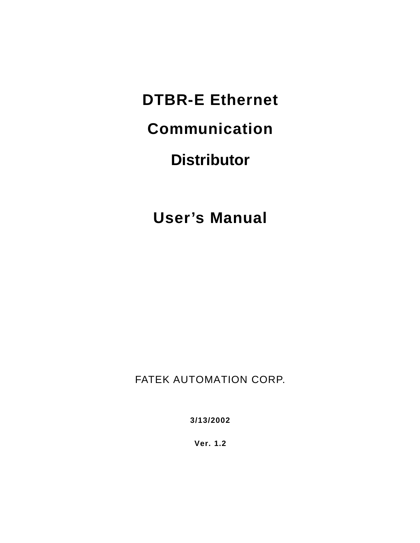**DTBR-E Ethernet**

**Communication** 

# **Distributor**

**User's Manual**

FATEK AUTOMATION CORP.

**3/13/2002**

**Ver. 1.2**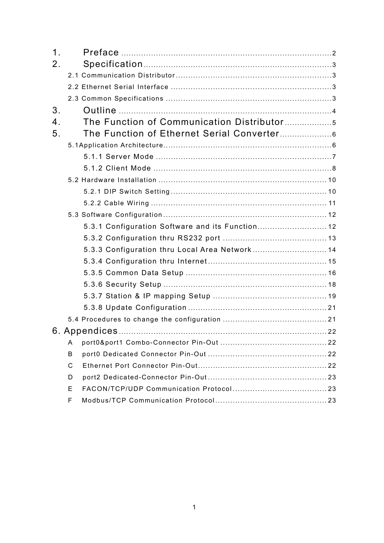| 1 <sub>1</sub> |                                                  |  |
|----------------|--------------------------------------------------|--|
| 2 <sub>1</sub> |                                                  |  |
|                |                                                  |  |
|                |                                                  |  |
|                |                                                  |  |
| 3.             |                                                  |  |
| 4.             |                                                  |  |
| 5 <sub>1</sub> |                                                  |  |
|                |                                                  |  |
|                |                                                  |  |
|                |                                                  |  |
|                |                                                  |  |
|                |                                                  |  |
|                |                                                  |  |
|                |                                                  |  |
|                | 5.3.1 Configuration Software and its Function 12 |  |
|                |                                                  |  |
|                | 5.3.3 Configuration thru Local Area Network 14   |  |
|                |                                                  |  |
|                |                                                  |  |
|                |                                                  |  |
|                |                                                  |  |
|                |                                                  |  |
|                |                                                  |  |
|                |                                                  |  |
|                | A                                                |  |
|                | B                                                |  |
|                | C                                                |  |
|                | D                                                |  |
|                | E.                                               |  |
|                | F                                                |  |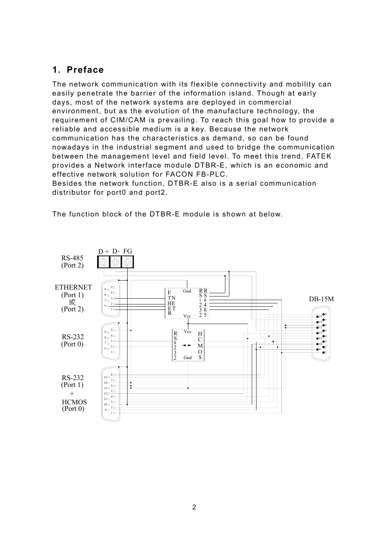# <span id="page-2-0"></span>**1. Preface**

The network communication with its flexible connectivity and mobility can easily penetrate the barrier of the information island. Though at early days, most of the network systems are deployed in commercial environment, but as the evolution of the manufacture technology, the requirement of CIM/CAM is prevailing. To reach this goal how to provide a reliable and accessible medium is a key. Because the network communication has the characteristics as demand, so can be found nowadays in the industrial segment and used to bridge the communication between the management level and field level. To meet this trend, FATEK provides a Network interface module DTBR-E, which is an economic and effective network solution for FACON FB-PLC.

Besides the network function, DTBR-E also is a serial communication distributor for port0 and port2.

The function block of the DTBR-E module is shown at below.

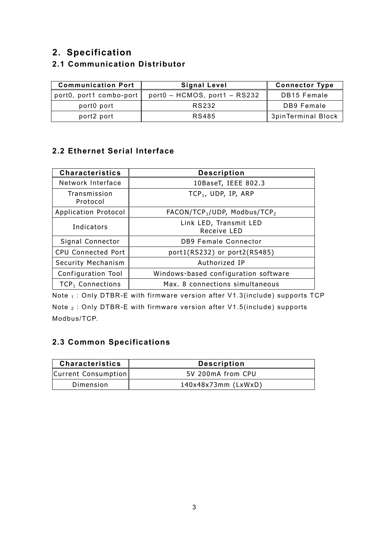# <span id="page-3-0"></span>**2. Specification**

# **2.1 Communication Distributor**

| <b>Communication Port</b> | Signal Level                      | <b>Connector Type</b> |
|---------------------------|-----------------------------------|-----------------------|
| port0, port1 combo-port   | $port0 - HCMOS$ , port1 - $RS232$ | <b>DB15 Female</b>    |
| port0 port                | RS232                             | DB9 Female            |
| port2 port                | RS485                             | 3pinTerminal Block    |

### **2.2 Ethernet Serial Interface**

| <b>Characteristics</b>   | <b>Description</b>                                   |
|--------------------------|------------------------------------------------------|
| Network Interface        | 10BaseT, IEEE 802.3                                  |
| Transmission<br>Protocol | $TCP_1, UDP, IP, ARP$                                |
| Application Protocol     | FACON/TCP <sub>1</sub> /UDP, Modbus/TCP <sub>2</sub> |
| Indicators               | Link LED, Transmit LED<br>Receive LED                |
| Signal Connector         | <b>DB9 Female Connector</b>                          |
| CPU Connected Port       | port1(RS232) or port2(RS485)                         |
| Security Mechanism       | Authorized IP                                        |
| Configuration Tool       | Windows-based configuration software                 |
| $TCP_1$ Connections      | Max. 8 connections simultaneous                      |

Note <sub>1</sub> : Only DTBR-E with firmware version after V1.3(include) supports TCP Note 2 : Only DTBR-E with firmware version after V1.5(include) supports Modbus/TCP.

### **2.3 Common Specifications**

| <b>Characteristics</b> | <b>Description</b>    |
|------------------------|-----------------------|
| Current Consumption    | 5V 200mA from CPU     |
| Dimension              | $140x48x73mm$ (LxWxD) |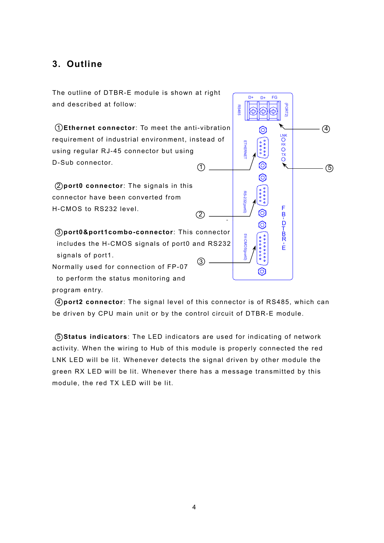# <span id="page-4-0"></span>**3. Outline**

The outline of DTBR-E module is shown at right and described at follow:

 $(1)$  1 **Ethernet connector**: To meet the anti-vibration requirement of industrial environment, instead of using regular RJ-45 connector but using D-Sub connector.

 2 **port0 connector**: The signals in this connector have been converted from H-CMOS to RS232 level.

 $\circled{3}$ . 3 **port0&port1combo-connector**: This connector includes the H-CMOS signals of port0 and RS232 signals of port1.

Normally used for connection of FP-07 to perform the status monitoring and program entry.

D+  $D+$ EG  $\circled{4}$ **ORORO** 5 ට  $\frac{B}{D}$ T<br>B<br>R Ė O

 4 **port2 connector**: The signal level of this connector is of RS485, which can be driven by CPU main unit or by the control circuit of DTBR-E module.

 $(2)$ 

 5 **Status indicators**: The LED indicators are used for indicating of network activity. When the wiring to Hub of this module is properly connected the red LNK LED will be lit. Whenever detects the signal driven by other module the green RX LED will be lit. Whenever there has a message transmitted by this module, the red TX LED will be lit.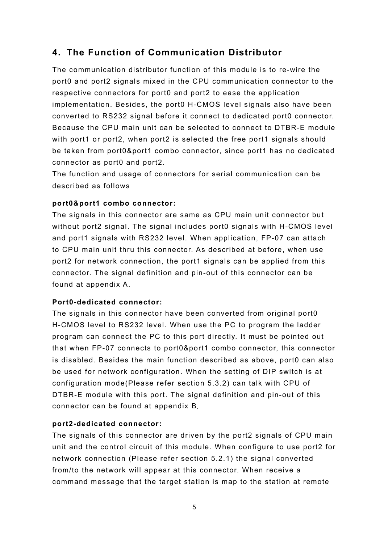# <span id="page-5-0"></span>**4. The Function of Communication Distributor**

The communication distributor function of this module is to re-wire the port0 and port2 signals mixed in the CPU communication connector to the respective connectors for port0 and port2 to ease the application implementation. Besides, the port0 H-CMOS level signals also have been converted to RS232 signal before it connect to dedicated port0 connector. Because the CPU main unit can be selected to connect to DTBR-E module with port1 or port2, when port2 is selected the free port1 signals should be taken from port0&port1 combo connector, since port1 has no dedicated connector as port0 and port2.

The function and usage of connectors for serial communication can be described as follows

#### **port0&port1 combo connector:**

The signals in this connector are same as CPU main unit connector but without port2 signal. The signal includes port0 signals with H-CMOS level and port1 signals with RS232 level. When application, FP-07 can attach to CPU main unit thru this connector. As described at before, when use port2 for network connection, the port1 signals can be applied from this connector. The signal definition and pin-out of this connector can be found at appendix A.

#### **Port0-dedicated connector:**

The signals in this connector have been converted from original port0 H-CMOS level to RS232 level. When use the PC to program the ladder program can connect the PC to this port directly. It must be pointed out that when FP-07 connects to port0&port1 combo connector, this connector is disabled. Besides the main function described as above, port0 can also be used for network configuration. When the setting of DIP switch is at configuration mode(Please refer section 5.3.2) can talk with CPU of DTBR-E module with this port. The signal definition and pin-out of this connector can be found at appendix B.

#### **port2-dedicated connector:**

The signals of this connector are driven by the port2 signals of CPU main unit and the control circuit of this module. When configure to use port2 for network connection (Please refer section 5.2.1) the signal converted from/to the network will appear at this connector. When receive a command message that the target station is map to the station at remote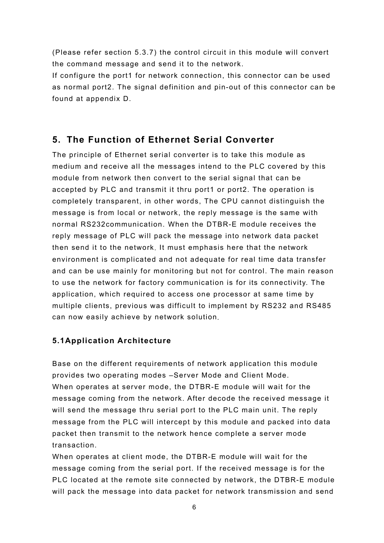<span id="page-6-0"></span>(Please refer section 5.3.7) the control circuit in this module will convert the command message and send it to the network.

If configure the port1 for network connection, this connector can be used as normal port2. The signal definition and pin-out of this connector can be found at appendix D.

# **5. The Function of Ethernet Serial Converter**

The principle of Ethernet serial converter is to take this module as medium and receive all the messages intend to the PLC covered by this module from network then convert to the serial signal that can be accepted by PLC and transmit it thru port1 or port2. The operation is completely transparent, in other words, The CPU cannot distinguish the message is from local or network, the reply message is the same with normal RS232communication. When the DTBR-E module receives the reply message of PLC will pack the message into network data packet then send it to the network. It must emphasis here that the network environment is complicated and not adequate for real time data transfer and can be use mainly for monitoring but not for control. The main reason to use the network for factory communication is for its connectivity. The application, which required to access one processor at same time by multiple clients, previous was difficult to implement by RS232 and RS485 can now easily achieve by network solution.

#### **5.1Application Architecture**

Base on the different requirements of network application this module provides two operating modes –Server Mode and Client Mode. When operates at server mode, the DTBR-E module will wait for the message coming from the network. After decode the received message it will send the message thru serial port to the PLC main unit. The reply message from the PLC will intercept by this module and packed into data packet then transmit to the network hence complete a server mode transaction.

When operates at client mode, the DTBR-E module will wait for the message coming from the serial port. If the received message is for the PLC located at the remote site connected by network, the DTBR-E module will pack the message into data packet for network transmission and send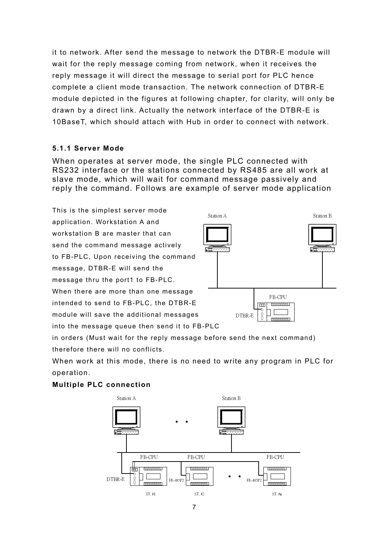<span id="page-7-0"></span>it to network. After send the message to network the DTBR-E module will wait for the reply message coming from network, when it receives the reply message it will direct the message to serial port for PLC hence complete a client mode transaction. The network connection of DTBR-E module depicted in the figures at following chapter, for clarity, will only be drawn by a direct link. Actually the network interface of the DTBR-E is 10BaseT, which should attach with Hub in order to connect with network.

#### **5.1.1 Server Mode**

When operates at server mode, the single PLC connected with RS232 interface or the stations connected by RS485 are all work at slave mode, which will wait for command message passively and reply the command. Follows are example of server mode application

This is the simplest server mode application. Workstation A and workstation B are master that can send the command message actively to FB-PLC, Upon receiving the command message, DTBR-E will send the message thru the port1 to FB-PLC. When there are more than one message intended to send to FB-PLC, the DTBR-E module will save the additional messages into the message queue then send it to FB-PLC

Station A Station B स्त्र ह्हत FB-CPU  $\overline{nm}$  $1888888885$ DTBR-E

in orders (Must wait for the reply message before send the next command) therefore there will no conflicts.

When work at this mode, there is no need to write any program in PLC for operation.

#### **Multiple PLC connection**

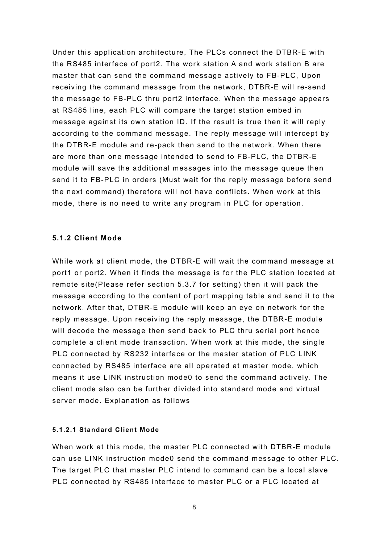<span id="page-8-0"></span>Under this application architecture, The PLCs connect the DTBR-E with the RS485 interface of port2. The work station A and work station B are master that can send the command message actively to FB-PLC, Upon receiving the command message from the network, DTBR-E will re-send the message to FB-PLC thru port2 interface. When the message appears at RS485 line, each PLC will compare the target station embed in message against its own station ID. If the result is true then it will reply according to the command message. The reply message will intercept by the DTBR-E module and re-pack then send to the network. When there are more than one message intended to send to FB-PLC, the DTBR-E module will save the additional messages into the message queue then send it to FB-PLC in orders (Must wait for the reply message before send the next command) therefore will not have conflicts. When work at this mode, there is no need to write any program in PLC for operation.

#### **5.1.2 Client Mode**

While work at client mode, the DTBR-E will wait the command message at port1 or port2. When it finds the message is for the PLC station located at remote site(Please refer section 5.3.7 for setting) then it will pack the message according to the content of port mapping table and send it to the network. After that, DTBR-E module will keep an eye on network for the reply message. Upon receiving the reply message, the DTBR-E module will decode the message then send back to PLC thru serial port hence complete a client mode transaction. When work at this mode, the single PLC connected by RS232 interface or the master station of PLC LINK connected by RS485 interface are all operated at master mode, which means it use LINK instruction mode0 to send the command actively. The client mode also can be further divided into standard mode and virtual server mode. Explanation as follows

#### **5.1.2.1 Standard Client Mode**

When work at this mode, the master PLC connected with DTBR-E module can use LINK instruction mode0 send the command message to other PLC. The target PLC that master PLC intend to command can be a local slave PLC connected by RS485 interface to master PLC or a PLC located at

8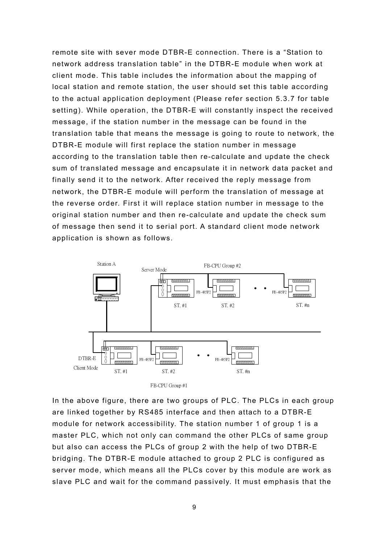remote site with sever mode DTBR-E connection. There is a "Station to network address translation table" in the DTBR-E module when work at client mode. This table includes the information about the mapping of local station and remote station, the user should set this table according to the actual application deployment (Please refer section 5.3.7 for table setting). While operation, the DTBR-E will constantly inspect the received message, if the station number in the message can be found in the translation table that means the message is going to route to network, the DTBR-E module will first replace the station number in message according to the translation table then re-calculate and update the check sum of translated message and encapsulate it in network data packet and finally send it to the network. After received the reply message from network, the DTBR-E module will perform the translation of message at the reverse order. First it will replace station number in message to the original station number and then re-calculate and update the check sum of message then send it to serial port. A standard client mode network application is shown as follows.



FB-CPU Group #1

In the above figure, there are two groups of PLC. The PLCs in each group are linked together by RS485 interface and then attach to a DTBR-E module for network accessibility. The station number 1 of group 1 is a master PLC, which not only can command the other PLCs of same group but also can access the PLCs of group 2 with the help of two DTBR-E bridging. The DTBR-E module attached to group 2 PLC is configured as server mode, which means all the PLCs cover by this module are work as slave PLC and wait for the command passively. It must emphasis that the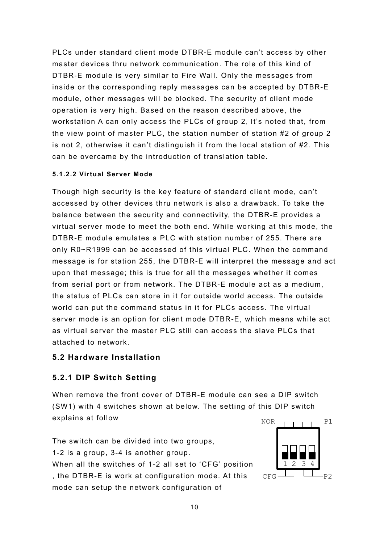<span id="page-10-0"></span>PLCs under standard client mode DTBR-E module can't access by other master devices thru network communication. The role of this kind of DTBR-E module is very similar to Fire Wall. Only the messages from inside or the corresponding reply messages can be accepted by DTBR-E module, other messages will be blocked. The security of client mode operation is very high. Based on the reason described above, the workstation A can only access the PLCs of group 2. It's noted that, from the view point of master PLC, the station number of station #2 of group 2 is not 2, otherwise it can't distinguish it from the local station of #2. This can be overcame by the introduction of translation table.

#### **5.1.2.2 Virtual Server Mode**

Though high security is the key feature of standard client mode, can't accessed by other devices thru network is also a drawback. To take the balance between the security and connectivity, the DTBR-E provides a virtual server mode to meet the both end. While working at this mode, the DTBR-E module emulates a PLC with station number of 255. There are only R0~R1999 can be accessed of this virtual PLC. When the command message is for station 255, the DTBR-E will interpret the message and act upon that message; this is true for all the messages whether it comes from serial port or from network. The DTBR-E module act as a medium, the status of PLCs can store in it for outside world access. The outside world can put the command status in it for PLCs access. The virtual server mode is an option for client mode DTBR-E, which means while act as virtual server the master PLC still can access the slave PLCs that attached to network.

#### **5.2 Hardware Installation**

#### **5.2.1 DIP Switch Setting**

When remove the front cover of DTBR-E module can see a DIP switch (SW1) with 4 switches shown at below. The setting of this DIP switch explains at follow

The switch can be divided into two groups, 1-2 is a group, 3-4 is another group. When all the switches of 1-2 all set to 'CFG' position , the DTBR-E is work at configuration mode. At this mode can setup the network configuration of

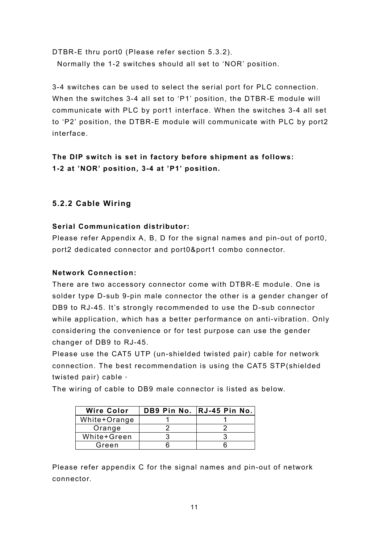<span id="page-11-0"></span>DTBR-E thru port0 (Please refer section 5.3.2). Normally the 1-2 switches should all set to 'NOR' position.

3-4 switches can be used to select the serial port for PLC connection. When the switches 3-4 all set to 'P1' position, the DTBR-E module will communicate with PLC by port1 interface. When the switches 3-4 all set to 'P2' position, the DTBR-E module will communicate with PLC by port2 interface.

**The DIP switch is set in factory before shipment as follows: 1-2 at 'NOR' position, 3-4 at 'P1' position.**

#### **5.2.2 Cable Wiring**

#### **Serial Communication distributor:**

Please refer Appendix A, B, D for the signal names and pin-out of port0, port2 dedicated connector and port0&port1 combo connector.

#### **Network Connection:**

There are two accessory connector come with DTBR-E module. One is solder type D-sub 9-pin male connector the other is a gender changer of DB9 to RJ-45. It's strongly recommended to use the D-sub connector while application, which has a better performance on anti-vibration. Only considering the convenience or for test purpose can use the gender changer of DB9 to RJ-45.

Please use the CAT5 UTP (un-shielded twisted pair) cable for network connection. The best recommendation is using the CAT5 STP(shielded twisted pair) cable。

The wiring of cable to DB9 male connector is listed as below.

| <b>Wire Color</b> | DB9 Pin No.   RJ-45 Pin No. |
|-------------------|-----------------------------|
| White+Orange      |                             |
| Orange            |                             |
| White+Green       |                             |
| Green             |                             |

Please refer appendix C for the signal names and pin-out of network connector.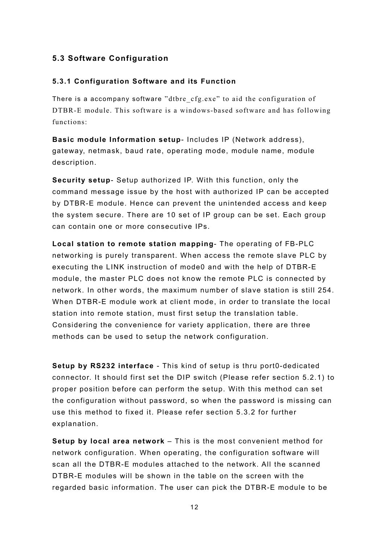#### <span id="page-12-0"></span>**5.3 Software Configuration**

#### **5.3.1 Configuration Software and its Function**

There is a accompany software "dtbre\_cfg.exe" to aid the configuration of DTBR-E module. This software is a windows-based software and has following functions:

**Basic module Information setup**- Includes IP (Network address), gateway, netmask, baud rate, operating mode, module name, module description.

**Security setup**- Setup authorized IP. With this function, only the command message issue by the host with authorized IP can be accepted by DTBR-E module. Hence can prevent the unintended access and keep the system secure. There are 10 set of IP group can be set. Each group can contain one or more consecutive IPs.

**Local station to remote station mapping**- The operating of FB-PLC networking is purely transparent. When access the remote slave PLC by executing the LINK instruction of mode0 and with the help of DTBR-E module, the master PLC does not know the remote PLC is connected by network. In other words, the maximum number of slave station is still 254. When DTBR-E module work at client mode, in order to translate the local station into remote station, must first setup the translation table. Considering the convenience for variety application, there are three methods can be used to setup the network configuration.

**Setup by RS232 interface** - This kind of setup is thru port0-dedicated connector. It should first set the DIP switch (Please refer section 5.2.1) to proper position before can perform the setup. With this method can set the configuration without password, so when the password is missing can use this method to fixed it. Please refer section 5.3.2 for further explanation.

**Setup by local area network** – This is the most convenient method for network configuration. When operating, the configuration software will scan all the DTBR-E modules attached to the network. All the scanned DTBR-E modules will be shown in the table on the screen with the regarded basic information. The user can pick the DTBR-E module to be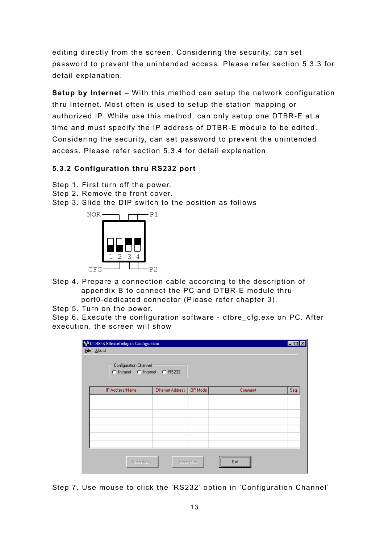<span id="page-13-0"></span>editing directly from the screen. Considering the security, can set password to prevent the unintended access. Please refer section 5.3.3 for detail explanation.

**Setup by Internet** – With this method can setup the network configuration thru Internet. Most often is used to setup the station mapping or authorized IP. While use this method, can only setup one DTBR-E at a time and must specify the IP address of DTBR-E module to be edited. Considering the security, can set password to prevent the unintended access. Please refer section 5.3.4 for detail explanation.

#### **5.3.2 Configuration thru RS232 port**

- Step 1. First turn off the power.
- Step 2. Remove the front cover.
- Step 3. Slide the DIP switch to the position as follows



- Step 4. Prepare a connection cable according to the description of appendix B to connect the PC and DTBR-E module thru port0-dedicated connector (Please refer chapter 3).
- Step 5. Turn on the power.

Step 6. Execute the configuration software - dtbre\_cfg.exe on PC. After execution, the screen will show

| SO DTBR-E Ethernet adaptor Configuration               |                  |          |              | ▐▃▌▆ |
|--------------------------------------------------------|------------------|----------|--------------|------|
| File About                                             |                  |          |              |      |
| Configuration Channel<br>C Intranet C Internet C RS232 |                  |          |              |      |
| IP Address/Name                                        | Ethernet Address | OP Mode  | Comment      | Seq. |
|                                                        |                  |          |              |      |
|                                                        |                  |          |              |      |
|                                                        |                  |          |              |      |
|                                                        |                  |          |              |      |
|                                                        |                  |          |              |      |
|                                                        |                  |          |              |      |
| Properties                                             |                  | Scan Map | <br>Exit<br> |      |

Step 7. Use mouse to click the 'RS232' option in 'Configuration Channel'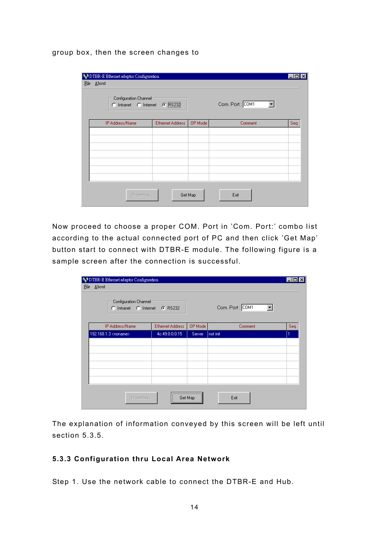<span id="page-14-0"></span>group box, then the screen changes to

| Configuration Channel<br>C Intranet C Internet C BS232 |                         |         | Com. Port: COM1 |      |
|--------------------------------------------------------|-------------------------|---------|-----------------|------|
| IP Address/Name                                        | <b>Ethernet Address</b> | OP Mode | Comment         | Seq. |
|                                                        |                         |         |                 |      |
|                                                        |                         |         |                 |      |
|                                                        |                         |         |                 |      |
|                                                        |                         |         |                 |      |
|                                                        |                         |         |                 |      |
|                                                        |                         |         |                 |      |

Now proceed to choose a proper COM. Port in 'Com. Port:' combo list according to the actual connected port of PC and then click 'Get Map' button start to connect with DTBR-E module. The following figure is a sample screen after the connection is successful.

| SO DTBR-E Ethemet adaptor Configuration<br>File About<br>Configuration Channel<br>C Intranet C Internet C RS232 |                  |                 | Com. Port: COM1<br>$\blacktriangledown$ |      |
|-----------------------------------------------------------------------------------------------------------------|------------------|-----------------|-----------------------------------------|------|
| IP Address/Name                                                                                                 | Ethernet Address | OP Mode         | Comment                                 | Seq. |
| 192.168.1.3 <noname></noname>                                                                                   | 4c:49:0:0:0:15   | Server          | not init                                | ſ    |
|                                                                                                                 |                  |                 |                                         |      |
|                                                                                                                 |                  |                 |                                         |      |
|                                                                                                                 |                  |                 |                                         |      |
|                                                                                                                 |                  |                 |                                         |      |
|                                                                                                                 |                  |                 |                                         |      |
| Properties                                                                                                      |                  | <br>Get Map<br> | Exit                                    |      |

The explanation of information conveyed by this screen will be left until section 5.3.5.

#### **5.3.3 Configuration thru Local Area Network**

Step 1. Use the network cable to connect the DTBR-E and Hub.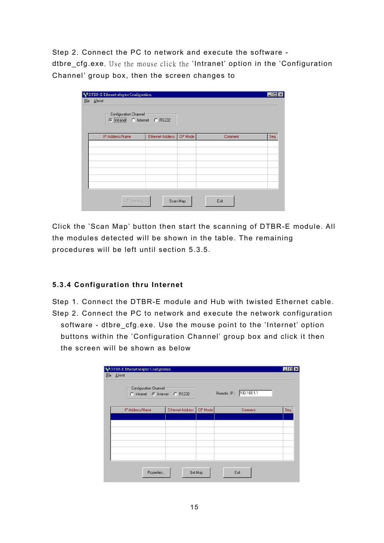<span id="page-15-0"></span>Step 2. Connect the PC to network and execute the software -

dtbre\_cfg.exe. Use the mouse click the 'Intranet' option in the 'Configuration Channel' group box, then the screen changes to

| Configuration Channel<br>C Intranet C Internet C RS232 |                         |         |         |      |
|--------------------------------------------------------|-------------------------|---------|---------|------|
| IP Address/Name                                        | <b>Ethernet Address</b> | OP Mode | Comment | Seq. |
|                                                        |                         |         |         |      |
|                                                        |                         |         |         |      |
|                                                        |                         |         |         |      |
|                                                        |                         |         |         |      |
|                                                        |                         |         |         |      |
|                                                        |                         |         |         |      |

Click the 'Scan Map' button then start the scanning of DTBR-E module. All the modules detected will be shown in the table. The remaining procedures will be left until section 5.3.5.

### **5.3.4 Configuration thru Internet**

Step 1. Connect the DTBR-E module and Hub with twisted Ethernet cable. Step 2. Connect the PC to network and execute the network configuration software - dtbre\_cfg.exe. Use the mouse point to the 'Internet' option buttons within the 'Configuration Channel' group box and click it then the screen will be shown as below

| Configuration Channel<br>C Intranet C Internet C RS232 |                         |         | Remote IP: 192.168.1.1 |      |
|--------------------------------------------------------|-------------------------|---------|------------------------|------|
| IP Address/Name                                        | <b>Ethernet Address</b> | OP Mode | Comment                | Seq. |
|                                                        |                         |         |                        |      |
|                                                        |                         |         |                        |      |
|                                                        |                         |         |                        |      |
|                                                        |                         |         |                        |      |
|                                                        |                         |         |                        |      |
|                                                        |                         |         |                        |      |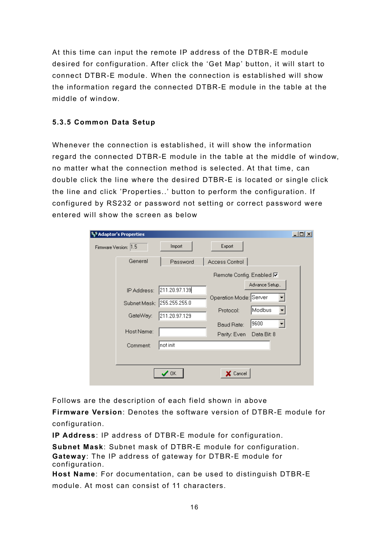<span id="page-16-0"></span>At this time can input the remote IP address of the DTBR-E module desired for configuration. After click the 'Get Map' button, it will start to connect DTBR-E module. When the connection is established will show the information regard the connected DTBR-E module in the table at the middle of window.

#### **5.3.5 Common Data Setup**

Whenever the connection is established, it will show the information regard the connected DTBR-E module in the table at the middle of window, no matter what the connection method is selected. At that time, can double click the line where the desired DTBR-E is located or single click the line and click 'Properties..' button to perform the configuration. If configured by RS232 or password not setting or correct password were entered will show the screen as below

| <b>S</b> Adaptor's Properties |               |                                                   | $\Box$ D $\times$ |
|-------------------------------|---------------|---------------------------------------------------|-------------------|
| Firmware Version: 1.5         | Import        | Export                                            |                   |
| General                       | Password      | Access Control                                    |                   |
|                               |               | Remote Config. Enabled <b>Ø</b>                   |                   |
| IP Address:                   | 211.20.97.139 | Advance Setup                                     |                   |
| Subnet Mask: 255.255.255.0    |               | Operation Mode: Server                            |                   |
| GateWay:                      | 211.20.97.129 | Modbus<br>Protocol:                               |                   |
| Host Name:                    |               | 9600<br>Baud Rate:<br>Parity: Even<br>Data Bit: 8 |                   |
| Comment:                      | not init      |                                                   |                   |
|                               |               |                                                   |                   |
|                               | $\prime$ OK   | X Cancel                                          |                   |

Follows are the description of each field shown in above

**Firmware Version**: Denotes the software version of DTBR-E module for configuration.

**IP Address**: IP address of DTBR-E module for configuration.

**Subnet Mask**: Subnet mask of DTBR-E module for configuration. **Gateway**: The IP address of gateway for DTBR-E module for configuration.

**Host Name**: For documentation, can be used to distinguish DTBR-E module. At most can consist of 11 characters.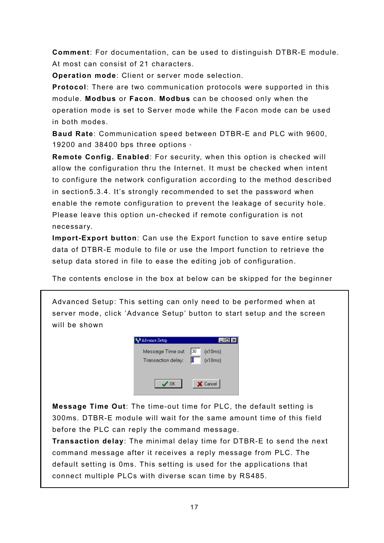**Comment**: For documentation, can be used to distinguish DTBR-E module. At most can consist of 21 characters.

**Operation mode**: Client or server mode selection.

**Protocol**: There are two communication protocols were supported in this module. **Modbus** or **Facon**. **Modbus** can be choosed only when the operation mode is set to Server mode while the Facon mode can be used in both modes.

**Baud Rate**: Communication speed between DTBR-E and PLC with 9600, 19200 and 38400 bps three options of

**Remote Config. Enabled**: For security, when this option is checked will allow the configuration thru the Internet. It must be checked when intent to configure the network configuration according to the method described in section5.3.4. It's strongly recommended to set the password when enable the remote configuration to prevent the leakage of security hole. Please leave this option un-checked if remote configuration is not necessary.

**Import-Export button**: Can use the Export function to save entire setup data of DTBR-E module to file or use the Import function to retrieve the setup data stored in file to ease the editing job of configuration.

The contents enclose in the box at below can be skipped for the beginner

Advanced Setup: This setting can only need to be performed when at server mode, click 'Advance Setup' button to start setup and the screen will be shown



**Message Time Out**: The time-out time for PLC, the default setting is 300ms. DTBR-E module will wait for the same amount time of this field before the PLC can reply the command message.

**Transaction delay**: The minimal delay time for DTBR-E to send the next command message after it receives a reply message from PLC. The default setting is 0ms. This setting is used for the applications that connect multiple PLCs with diverse scan time by RS485.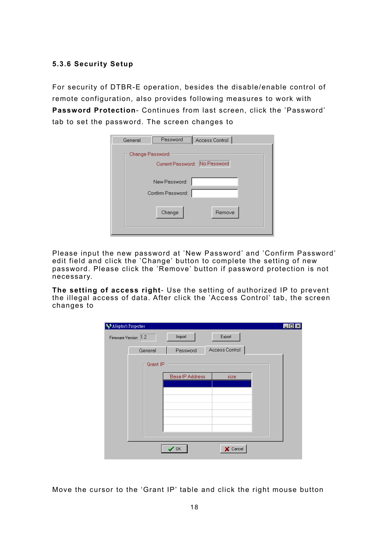#### <span id="page-18-0"></span>**5.3.6 Security Setup**

For security of DTBR-E operation, besides the disable/enable control of remote configuration, also provides following measures to work with **Password Protection**- Continues from last screen, click the 'Password' tab to set the password. The screen changes to

| Access Control<br>General<br>Password<br>-------------------- |
|---------------------------------------------------------------|
| Change Password                                               |
| Current Password: No Password                                 |
| New Password:                                                 |
| Confirm Password:                                             |
| Change<br>Remove                                              |

Please input the new password at 'New Password' and 'Confirm Password' edit field and click the 'Change' button to complete the setting of new password. Please click the 'Remove' button if password protection is not necessary.

**The setting of access right**- Use the setting of authorized IP to prevent the illegal access of data. After click the 'Access Control' tab, the screen changes to

| <b>SAdaptor's Properties</b> |          |                        |                |  |
|------------------------------|----------|------------------------|----------------|--|
| Firmware Version: 1.2        |          | Import                 | Export         |  |
|                              | General  | Password               | Access Control |  |
|                              | Grant IP |                        |                |  |
|                              |          | <b>Base IP Address</b> | size           |  |
|                              |          |                        |                |  |
|                              |          |                        |                |  |
|                              |          |                        |                |  |
|                              |          |                        |                |  |
|                              |          |                        |                |  |
|                              |          |                        |                |  |
|                              |          | $^{\prime}$ OK         | X Cancel       |  |

Move the cursor to the 'Grant IP' table and click the right mouse button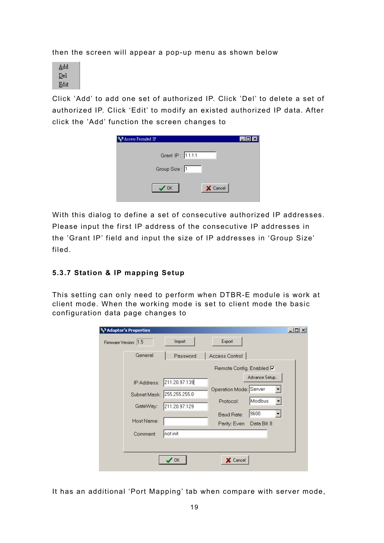<span id="page-19-0"></span>then the screen will appear a pop-up menu as shown below



Click 'Add' to add one set of authorized IP. Click 'Del' to delete a set of authorized IP. Click 'Edit' to modify an existed authorized IP data. After click the 'Add' function the screen changes to

| Access Permited IP                        |  |
|-------------------------------------------|--|
| Grant IP: 1.1.1.1                         |  |
| Group Size: 1                             |  |
| X Cancel<br>$\boldsymbol{\mathcal{S}}$ ok |  |

With this dialog to define a set of consecutive authorized IP addresses. Please input the first IP address of the consecutive IP addresses in the 'Grant IP' field and input the size of IP addresses in 'Group Size' filed.

#### **5.3.7 Station & IP mapping Setup**

This setting can only need to perform when DTBR-E module is work at client mode. When the working mode is set to client mode the basic configuration data page changes to

| <b>Adaptor's Properties</b> |                               |                                                   | $L = 1$ |
|-----------------------------|-------------------------------|---------------------------------------------------|---------|
| Firmware Version: 1.5       | Import                        | Export                                            |         |
| General                     | Password                      | Access Control                                    |         |
|                             |                               | Remote Config. Enabled <b>Ø</b>                   |         |
| IP Address:                 | 211.20.97.139                 | Advance Setup<br>Operation Mode: Server           |         |
| Subnet Mask:                | 255.255.255.0                 |                                                   |         |
| GateWay:                    | 211.20.97.129                 | Modbus<br>Protocol:                               |         |
| Host Name:                  |                               | 9600<br>Baud Rate:<br>Parity: Even<br>Data Bit: 8 |         |
| Comment:                    | not init                      |                                                   |         |
|                             |                               |                                                   |         |
|                             | $\boldsymbol{\mathcal{J}}$ OK | X Cancel                                          |         |

It has an additional 'Port Mapping' tab when compare with server mode,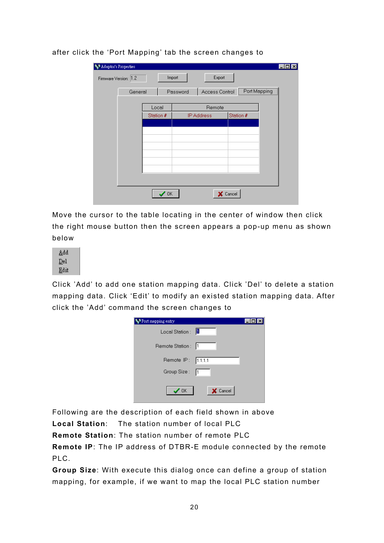| Adaptor's Properties | Firmware Version: 1.2<br>General |                | Import<br>Password | Export     | Access Control   Port Mapping |  |
|----------------------|----------------------------------|----------------|--------------------|------------|-------------------------------|--|
|                      |                                  | Local          |                    | Remote     |                               |  |
|                      |                                  | Station #      |                    | IP Address | Station #                     |  |
|                      |                                  |                |                    |            |                               |  |
|                      |                                  |                |                    |            |                               |  |
|                      |                                  |                |                    |            |                               |  |
|                      |                                  |                |                    |            |                               |  |
|                      |                                  | $^{\prime}$ OK |                    |            | <b>X</b> Cancel               |  |

after click the 'Port Mapping' tab the screen changes to

Move the cursor to the table locating in the center of window then click the right mouse button then the screen appears a pop-up menu as shown below

| Add  |  |
|------|--|
| Del  |  |
| Edit |  |

Click 'Add' to add one station mapping data. Click 'Del' to delete a station mapping data. Click 'Edit' to modify an existed station mapping data. After click the 'Add' command the screen changes to

| Port mapping entry |          |
|--------------------|----------|
| Local Station :    |          |
| Remote Station:  1 |          |
| Remote IP: 1.1.1.1 |          |
| Group Size: [1     |          |
| $\sqrt{a}$ K       | X Cancel |

Following are the description of each field shown in above

**Local Station**: The station number of local PLC

**Remote Station**: The station number of remote PLC

**Remote IP**: The IP address of DTBR-E module connected by the remote PLC.

**Group Size**: With execute this dialog once can define a group of station mapping, for example, if we want to map the local PLC station number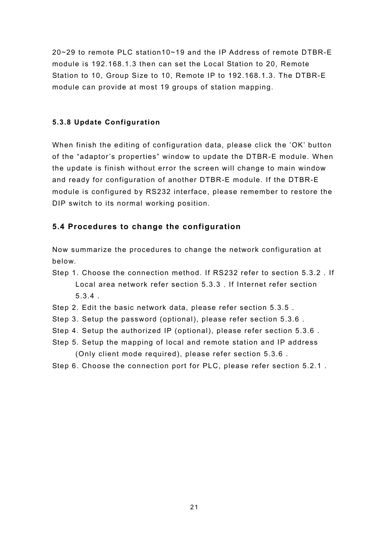<span id="page-21-0"></span>20~29 to remote PLC station10~19 and the IP Address of remote DTBR-E module is 192.168.1.3 then can set the Local Station to 20, Remote Station to 10, Group Size to 10, Remote IP to 192.168.1.3. The DTBR-E module can provide at most 19 groups of station mapping.

#### **5.3.8 Update Configuration**

When finish the editing of configuration data, please click the 'OK' button of the "adaptor's properties" window to update the DTBR-E module. When the update is finish without error the screen will change to main window and ready for configuration of another DTBR-E module. If the DTBR-E module is configured by RS232 interface, please remember to restore the DIP switch to its normal working position.

#### **5.4 Procedures to change the configuration**

Now summarize the procedures to change the network configuration at below.

- Step 1. Choose the connection method. If RS232 refer to section 5.3.2 . If Local area network refer section 5.3.3 . If Internet refer section 5.3.4 .
- Step 2. Edit the basic network data, please refer section 5.3.5 .
- Step 3. Setup the password (optional), please refer section 5.3.6 .
- Step 4. Setup the authorized IP (optional), please refer section 5.3.6 .
- Step 5. Setup the mapping of local and remote station and IP address (Only client mode required), please refer section 5.3.6 .
- Step 6. Choose the connection port for PLC, please refer section 5.2.1 .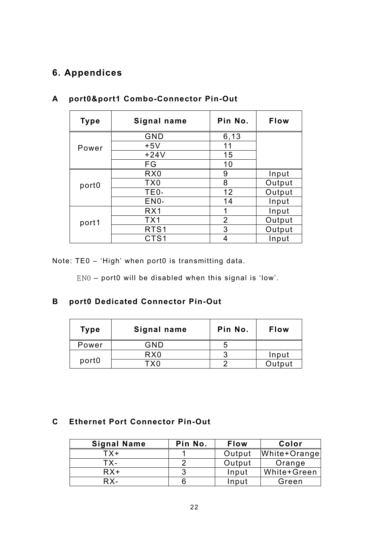# <span id="page-22-0"></span>**6. Appendices**

| <b>Type</b>       | Signal name      | Pin No.        | <b>Flow</b> |
|-------------------|------------------|----------------|-------------|
|                   | GND              | 6,13           |             |
| Power             | $+5V$            | 11             |             |
|                   | $+24V$           | 15             |             |
|                   | FG               | 10             |             |
|                   | R <sub>X0</sub>  | 9              | Input       |
| port <sub>0</sub> | TX <sub>0</sub>  | 8              | Output      |
|                   | TE0 <sub>*</sub> | 12             | Output      |
|                   | EN0 <sup>*</sup> | 14             | Input       |
|                   | RX1              | 1              | Input       |
| port1             | TX <sub>1</sub>  | $\overline{2}$ | Output      |
|                   | RTS <sub>1</sub> | 3              | Output      |
|                   | CTS <sub>1</sub> | 4              | Input       |

# **A port0&port1 Combo-Connector Pin-Out**

Note: TE0 – 'High' when port0 is transmitting data.

EN0 – port0 will be disabled when this signal is 'low'.

#### **B port0 Dedicated Connector Pin-Out**

| <b>Type</b>       | Signal name     | Pin No. | <b>Flow</b> |
|-------------------|-----------------|---------|-------------|
| Power             | GND             | ხ       |             |
|                   | R <sub>X0</sub> | 3       | Input       |
| port <sub>0</sub> | ⊤x∩             | n       | Output      |

#### **C Ethernet Port Connector Pin-Out**

| <b>Signal Name</b> | Pin No. | <b>Flow</b> | Color        |
|--------------------|---------|-------------|--------------|
| $TX+$              |         | Output      | White+Orange |
| TX-                |         | Output      | Orange       |
| $RX+$              |         | Input       | White+Green  |
| RX-                |         | Input       | Green        |